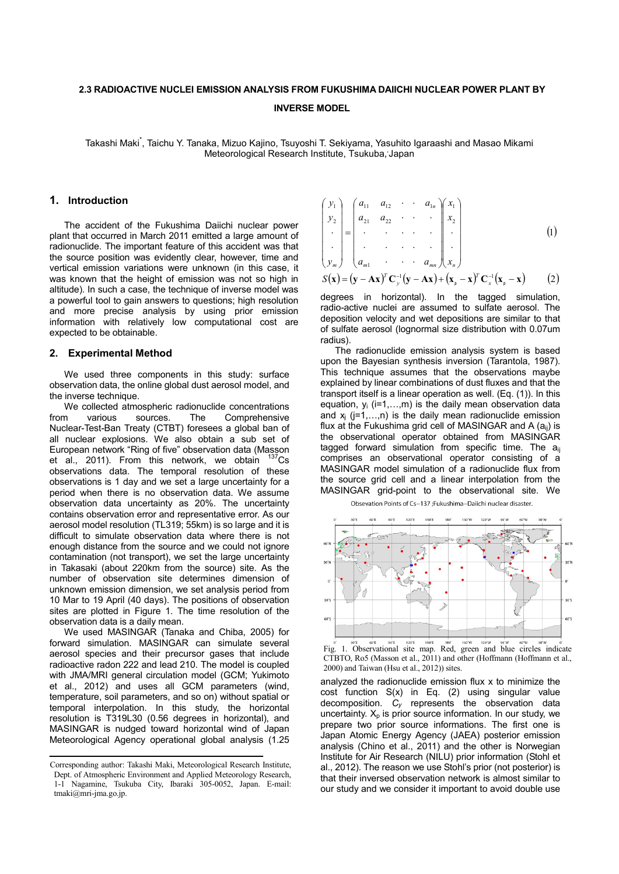## **2.3 RADIOACTIVE NUCLEI EMISSION ANALYSIS FROM FUKUSHIMA DAIICHI NUCLEAR POWER PLANT BY INVERSE MODEL**

Takashi Maki\* , Taichu Y. Tanaka, Mizuo Kajino, Tsuyoshi T. Sekiyama, Yasuhito Igaraashi and Masao Mikami Meteorological Research Institute, Tsukuba, Japan

### **1. Introduction**

The accident of the Fukushima Daiichi nuclear power plant that occurred in March 2011 emitted a large amount of radionuclide. The important feature of this accident was that the source position was evidently clear, however, time and vertical emission variations were unknown (in this case, it was known that the height of emission was not so high in altitude). In such a case, the technique of inverse model was a powerful tool to gain answers to questions; high resolution and more precise analysis by using prior emission information with relatively low computational cost are expected to be obtainable.

# **2. Experimental Method**

We used three components in this study: surface observation data, the online global dust aerosol model, and the inverse technique.

We collected atmospheric radionuclide concentrations<br>m various sources. The Comprehensive from various sources. The Comprehensive Nuclear-Test-Ban Treaty (CTBT) foresees a global ban of all nuclear explosions. We also obtain a sub set of European network "Ring of five" observation data (Masson et al., 2011). From this network, we obtain  $137$ Cs observations data. The temporal resolution of these observations is 1 day and we set a large uncertainty for a period when there is no observation data. We assume observation data uncertainty as 20%. The uncertainty contains observation error and representative error. As our aerosol model resolution (TL319; 55km) is so large and it is difficult to simulate observation data where there is not enough distance from the source and we could not ignore contamination (not transport), we set the large uncertainty in Takasaki (about 220km from the source) site. As the number of observation site determines dimension of unknown emission dimension, we set analysis period from 10 Mar to 19 April (40 days). The positions of observation sites are plotted in Figure 1. The time resolution of the observation data is a daily mean.

We used MASINGAR (Tanaka and Chiba, 2005) for forward simulation. MASINGAR can simulate several aerosol species and their precursor gases that include radioactive radon 222 and lead 210. The model is coupled with JMA/MRI general circulation model (GCM; Yukimoto et al., 2012) and uses all GCM parameters (wind, temperature, soil parameters, and so on) without spatial or temporal interpolation. In this study, the horizontal resolution is T319L30 (0.56 degrees in horizontal), and MASINGAR is nudged toward horizontal wind of Japan Meteorological Agency operational global analysis (1.25

$$
\begin{pmatrix} y_1 \\ y_2 \\ \vdots \\ y_m \end{pmatrix} = \begin{pmatrix} a_{11} & a_{12} & \cdots & a_{1n} \\ a_{21} & a_{22} & \cdots & a_{2n} \\ \vdots & \vdots & \ddots & \vdots \\ a_{m1} & \cdots & a_{mn} \end{pmatrix} \begin{pmatrix} x_1 \\ x_2 \\ \vdots \\ x_n \end{pmatrix}
$$
 (1)

 $S(x) = (y - Ax)^T C_y^{-1} (y - Ax) + (x_p - x)^T C_x^{-1} (x_p - x)$  (2)

degrees in horizontal). In the tagged simulation, radio-active nuclei are assumed to sulfate aerosol. The deposition velocity and wet depositions are similar to that of sulfate aerosol (lognormal size distribution with 0.07um radius).

The radionuclide emission analysis system is based upon the Bayesian synthesis inversion (Tarantola, 1987). This technique assumes that the observations maybe explained by linear combinations of dust fluxes and that the transport itself is a linear operation as well. (Eq. (1)). In this equation,  $y_i$  (i=1,...,m) is the daily mean observation data and  $x_i$  ( $i=1,...,n$ ) is the daily mean radionuclide emission flux at the Fukushima grid cell of MASINGAR and A  $(a_{ij})$  is the observational operator obtained from MASINGAR tagged forward simulation from specific time. The  $a_{ii}$ comprises an observational operator consisting of a MASINGAR model simulation of a radionuclide flux from the source grid cell and a linear interpolation from the MASINGAR grid-point to the observational site. We

Obsevation Points of Cs-137 ;Fukushima-Daiichi nuclear disaster.



Fig. 1. Observational site map. Red, green and blue circles indicate CTBTO, Ro5 (Masson et al., 2011) and other (Hoffmann (Hoffmann et al., 2000) and Taiwan (Hsu et al., 2012)) sites.

analyzed the radionuclide emission flux x to minimize the cost function S(x) in Eq. (2) using singular value decomposition. *Cy* represents the observation data uncertainty.  $X_p$  is prior source information. In our study, we prepare two prior source informations. The first one is Japan Atomic Energy Agency (JAEA) posterior emission analysis (Chino et al., 2011) and the other is Norwegian Institute for Air Research (NILU) prior information (Stohl et al., 2012). The reason we use Stohl's prior (not posterior) is that their inversed observation network is almost similar to our study and we consider it important to avoid double use

Corresponding author: Takashi Maki, Meteorological Research Institute, Dept. of Atmospheric Environment and Applied Meteorology Research, 1-1 Nagamine, Tsukuba City, Ibaraki 305-0052, Japan. E-mail: tmaki@mri-jma.go.jp.